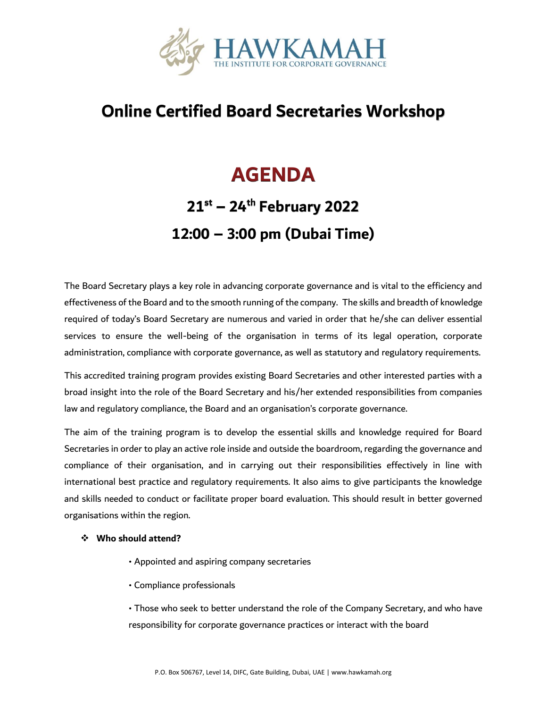

#### **Online Certified Board Secretaries Workshop**

### **AGENDA**

## **21st – 24th February 2022 12:00 – 3:00 pm (Dubai Time)**

The Board Secretary plays a key role in advancing corporate governance and is vital to the efficiency and effectiveness of the Board and to the smooth running of the company. The skills and breadth of knowledge required of today's Board Secretary are numerous and varied in order that he/she can deliver essential services to ensure the well-being of the organisation in terms of its legal operation, corporate administration, compliance with corporate governance, as well as statutory and regulatory requirements.

This accredited training program provides existing Board Secretaries and other interested parties with a broad insight into the role of the Board Secretary and his/her extended responsibilities from companies law and regulatory compliance, the Board and an organisation's corporate governance.

The aim of the training program is to develop the essential skills and knowledge required for Board Secretaries in order to play an active role inside and outside the boardroom, regarding the governance and compliance of their organisation, and in carrying out their responsibilities effectively in line with international best practice and regulatory requirements. It also aims to give participants the knowledge and skills needed to conduct or facilitate proper board evaluation. This should result in better governed organisations within the region.

#### ❖ **Who should attend?**

- Appointed and aspiring company secretaries
- Compliance professionals

• Those who seek to better understand the role of the Company Secretary, and who have responsibility for corporate governance practices or interact with the board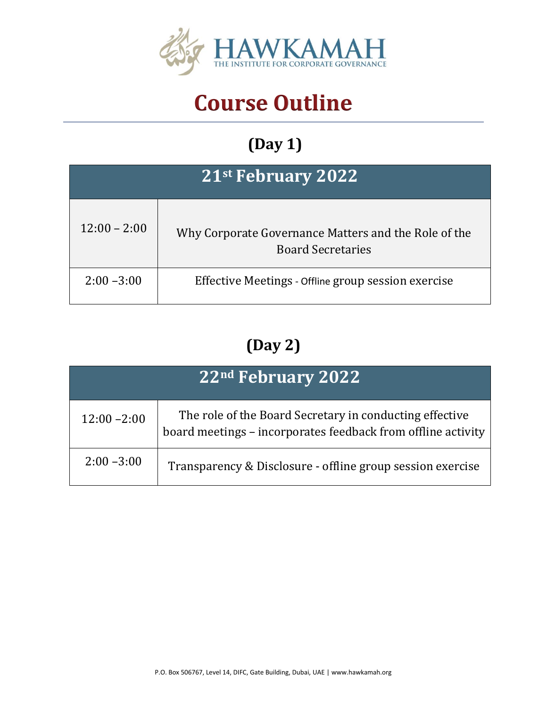

# **Course Outline**

## **(Day 1)**

| 21st February 2022 |                                                                                  |  |
|--------------------|----------------------------------------------------------------------------------|--|
| $12:00 - 2:00$     | Why Corporate Governance Matters and the Role of the<br><b>Board Secretaries</b> |  |
| $2:00 - 3:00$      | Effective Meetings - Offline group session exercise                              |  |

#### **(Day 2)**

| 22nd February 2022 |                                                                                                                         |  |
|--------------------|-------------------------------------------------------------------------------------------------------------------------|--|
| $12:00 - 2:00$     | The role of the Board Secretary in conducting effective<br>board meetings - incorporates feedback from offline activity |  |
| $2:00 - 3:00$      | Transparency & Disclosure - offline group session exercise                                                              |  |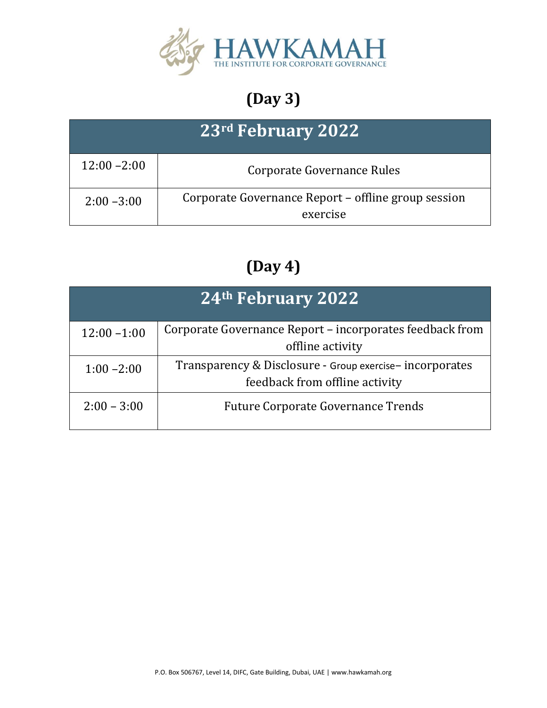

## **(Day 3)**

| 23 <sup>rd</sup> February 2022 |                                                                 |  |
|--------------------------------|-----------------------------------------------------------------|--|
| $12:00 - 2:00$                 | Corporate Governance Rules                                      |  |
| $2:00 - 3:00$                  | Corporate Governance Report - offline group session<br>exercise |  |

### **(Day 4)**

| <b>24th February 2022</b> |                                                                                           |  |
|---------------------------|-------------------------------------------------------------------------------------------|--|
| $12:00 - 1:00$            | Corporate Governance Report – incorporates feedback from<br>offline activity              |  |
| $1:00 - 2:00$             | Transparency & Disclosure - Group exercise-incorporates<br>feedback from offline activity |  |
| $2:00 - 3:00$             | <b>Future Corporate Governance Trends</b>                                                 |  |